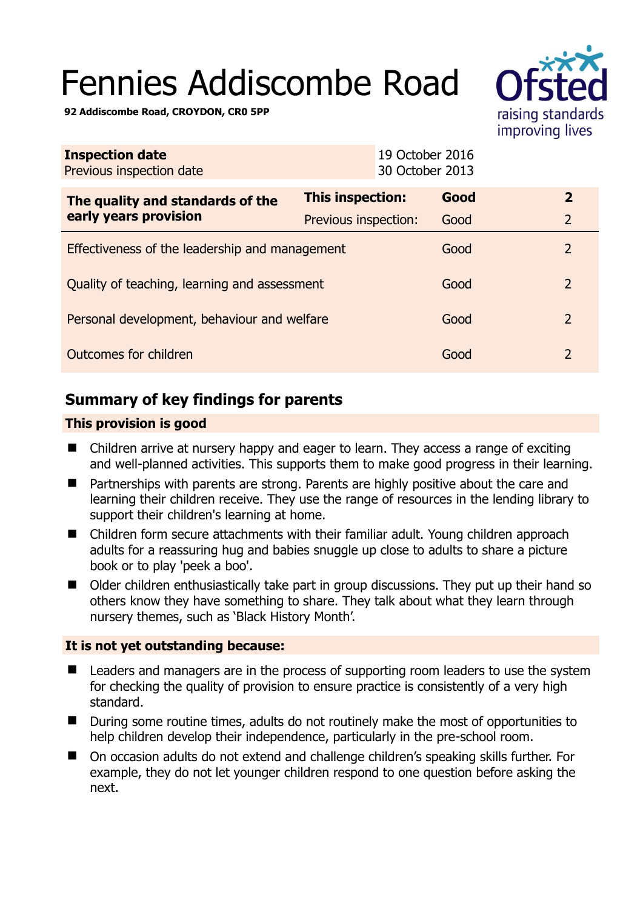# Fennies Addiscombe Road



**92 Addiscombe Road, CROYDON, CR0 5PP** 

| <b>Inspection date</b><br>Previous inspection date        |                      | 19 October 2016<br>30 October 2013 |                |
|-----------------------------------------------------------|----------------------|------------------------------------|----------------|
| The quality and standards of the<br>early years provision | This inspection:     | Good                               | $\overline{2}$ |
|                                                           | Previous inspection: | Good                               | $\overline{2}$ |
| Effectiveness of the leadership and management            |                      | Good                               | $\overline{2}$ |
| Quality of teaching, learning and assessment              |                      | Good                               | $\overline{2}$ |
| Personal development, behaviour and welfare               |                      | Good                               | $\overline{2}$ |
| Outcomes for children                                     |                      | Good                               | 2              |

# **Summary of key findings for parents**

## **This provision is good**

- Children arrive at nursery happy and eager to learn. They access a range of exciting and well-planned activities. This supports them to make good progress in their learning.
- Partnerships with parents are strong. Parents are highly positive about the care and learning their children receive. They use the range of resources in the lending library to support their children's learning at home.
- Children form secure attachments with their familiar adult. Young children approach adults for a reassuring hug and babies snuggle up close to adults to share a picture book or to play 'peek a boo'.
- Older children enthusiastically take part in group discussions. They put up their hand so others know they have something to share. They talk about what they learn through nursery themes, such as 'Black History Month'.

## **It is not yet outstanding because:**

- Leaders and managers are in the process of supporting room leaders to use the system for checking the quality of provision to ensure practice is consistently of a very high standard.
- During some routine times, adults do not routinely make the most of opportunities to help children develop their independence, particularly in the pre-school room.
- On occasion adults do not extend and challenge children's speaking skills further. For example, they do not let younger children respond to one question before asking the next.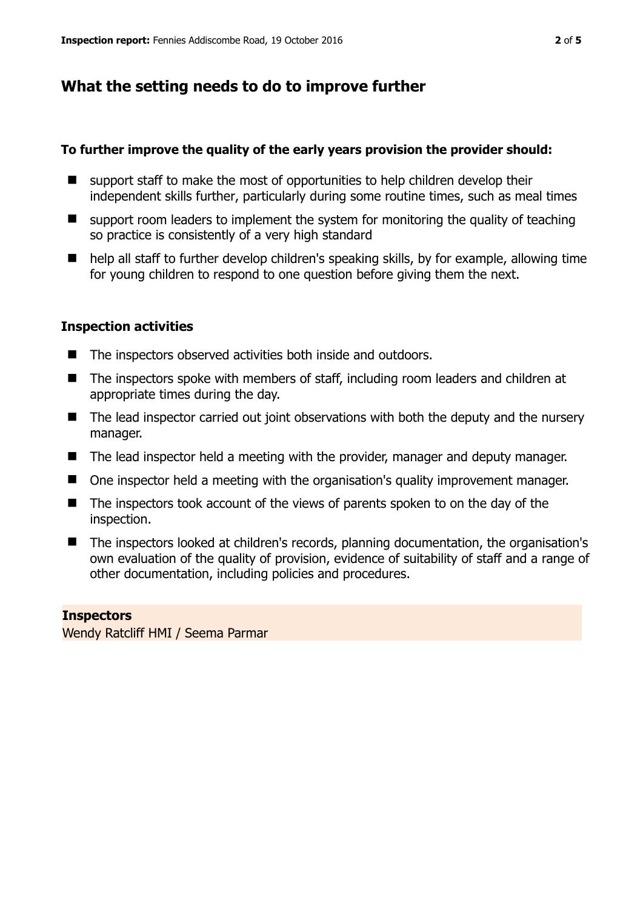# **What the setting needs to do to improve further**

## **To further improve the quality of the early years provision the provider should:**

- support staff to make the most of opportunities to help children develop their independent skills further, particularly during some routine times, such as meal times
- $\blacksquare$  support room leaders to implement the system for monitoring the quality of teaching so practice is consistently of a very high standard
- help all staff to further develop children's speaking skills, by for example, allowing time for young children to respond to one question before giving them the next.

## **Inspection activities**

- The inspectors observed activities both inside and outdoors.
- The inspectors spoke with members of staff, including room leaders and children at appropriate times during the day.
- The lead inspector carried out joint observations with both the deputy and the nursery manager.
- The lead inspector held a meeting with the provider, manager and deputy manager.
- One inspector held a meeting with the organisation's quality improvement manager.
- The inspectors took account of the views of parents spoken to on the day of the inspection.
- The inspectors looked at children's records, planning documentation, the organisation's own evaluation of the quality of provision, evidence of suitability of staff and a range of other documentation, including policies and procedures.

## **Inspectors**

Wendy Ratcliff HMI / Seema Parmar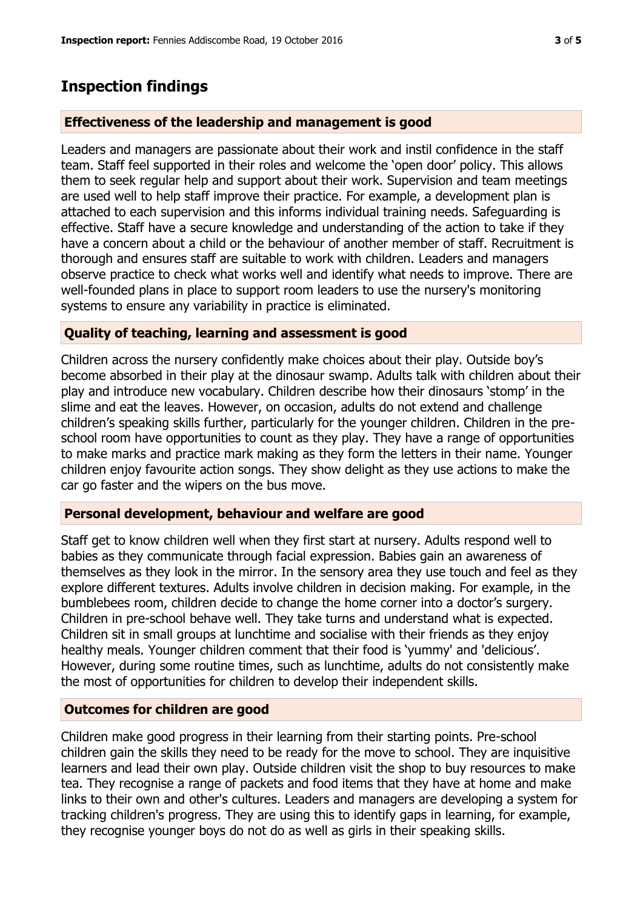## **Inspection findings**

#### **Effectiveness of the leadership and management is good**

Leaders and managers are passionate about their work and instil confidence in the staff team. Staff feel supported in their roles and welcome the 'open door' policy. This allows them to seek regular help and support about their work. Supervision and team meetings are used well to help staff improve their practice. For example, a development plan is attached to each supervision and this informs individual training needs. Safeguarding is effective. Staff have a secure knowledge and understanding of the action to take if they have a concern about a child or the behaviour of another member of staff. Recruitment is thorough and ensures staff are suitable to work with children. Leaders and managers observe practice to check what works well and identify what needs to improve. There are well-founded plans in place to support room leaders to use the nursery's monitoring systems to ensure any variability in practice is eliminated.

#### **Quality of teaching, learning and assessment is good**

Children across the nursery confidently make choices about their play. Outside boy's become absorbed in their play at the dinosaur swamp. Adults talk with children about their play and introduce new vocabulary. Children describe how their dinosaurs 'stomp' in the slime and eat the leaves. However, on occasion, adults do not extend and challenge children's speaking skills further, particularly for the younger children. Children in the preschool room have opportunities to count as they play. They have a range of opportunities to make marks and practice mark making as they form the letters in their name. Younger children enjoy favourite action songs. They show delight as they use actions to make the car go faster and the wipers on the bus move.

#### **Personal development, behaviour and welfare are good**

Staff get to know children well when they first start at nursery. Adults respond well to babies as they communicate through facial expression. Babies gain an awareness of themselves as they look in the mirror. In the sensory area they use touch and feel as they explore different textures. Adults involve children in decision making. For example, in the bumblebees room, children decide to change the home corner into a doctor's surgery. Children in pre-school behave well. They take turns and understand what is expected. Children sit in small groups at lunchtime and socialise with their friends as they enjoy healthy meals. Younger children comment that their food is 'yummy' and 'delicious'. However, during some routine times, such as lunchtime, adults do not consistently make the most of opportunities for children to develop their independent skills.

#### **Outcomes for children are good**

Children make good progress in their learning from their starting points. Pre-school children gain the skills they need to be ready for the move to school. They are inquisitive learners and lead their own play. Outside children visit the shop to buy resources to make tea. They recognise a range of packets and food items that they have at home and make links to their own and other's cultures. Leaders and managers are developing a system for tracking children's progress. They are using this to identify gaps in learning, for example, they recognise younger boys do not do as well as girls in their speaking skills.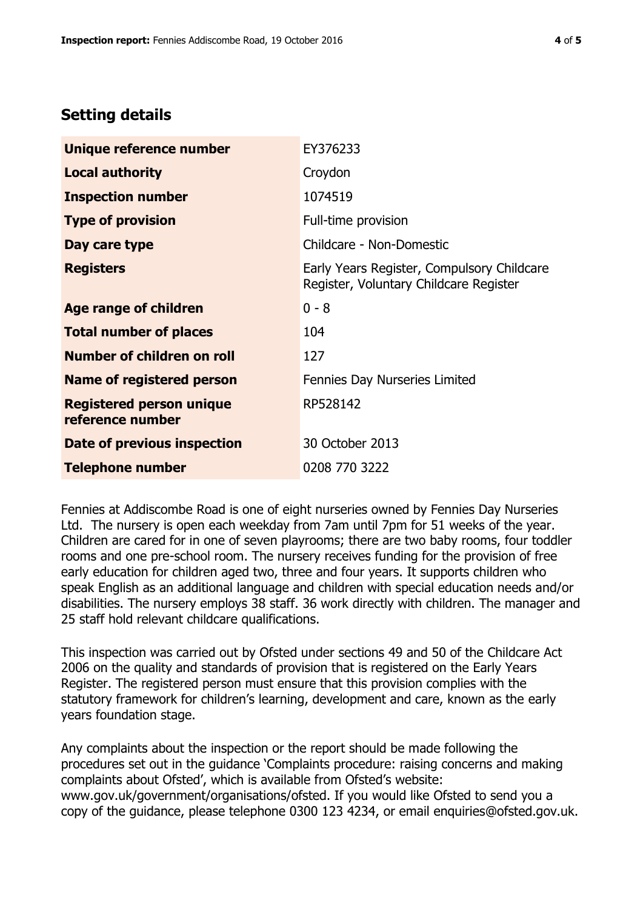# **Setting details**

| Unique reference number                             | EY376233                                                                             |
|-----------------------------------------------------|--------------------------------------------------------------------------------------|
| <b>Local authority</b>                              | Croydon                                                                              |
| <b>Inspection number</b>                            | 1074519                                                                              |
| <b>Type of provision</b>                            | Full-time provision                                                                  |
| Day care type                                       | Childcare - Non-Domestic                                                             |
| <b>Registers</b>                                    | Early Years Register, Compulsory Childcare<br>Register, Voluntary Childcare Register |
| Age range of children                               | $0 - 8$                                                                              |
| <b>Total number of places</b>                       | 104                                                                                  |
| Number of children on roll                          | 127                                                                                  |
| <b>Name of registered person</b>                    | Fennies Day Nurseries Limited                                                        |
| <b>Registered person unique</b><br>reference number | RP528142                                                                             |
| Date of previous inspection                         | 30 October 2013                                                                      |
| <b>Telephone number</b>                             | 0208 770 3222                                                                        |

Fennies at Addiscombe Road is one of eight nurseries owned by Fennies Day Nurseries Ltd. The nursery is open each weekday from 7am until 7pm for 51 weeks of the year. Children are cared for in one of seven playrooms; there are two baby rooms, four toddler rooms and one pre-school room. The nursery receives funding for the provision of free early education for children aged two, three and four years. It supports children who speak English as an additional language and children with special education needs and/or disabilities. The nursery employs 38 staff. 36 work directly with children. The manager and 25 staff hold relevant childcare qualifications.

This inspection was carried out by Ofsted under sections 49 and 50 of the Childcare Act 2006 on the quality and standards of provision that is registered on the Early Years Register. The registered person must ensure that this provision complies with the statutory framework for children's learning, development and care, known as the early years foundation stage.

Any complaints about the inspection or the report should be made following the procedures set out in the guidance 'Complaints procedure: raising concerns and making complaints about Ofsted', which is available from Ofsted's website: www.gov.uk/government/organisations/ofsted. If you would like Ofsted to send you a copy of the guidance, please telephone 0300 123 4234, or email enquiries@ofsted.gov.uk.